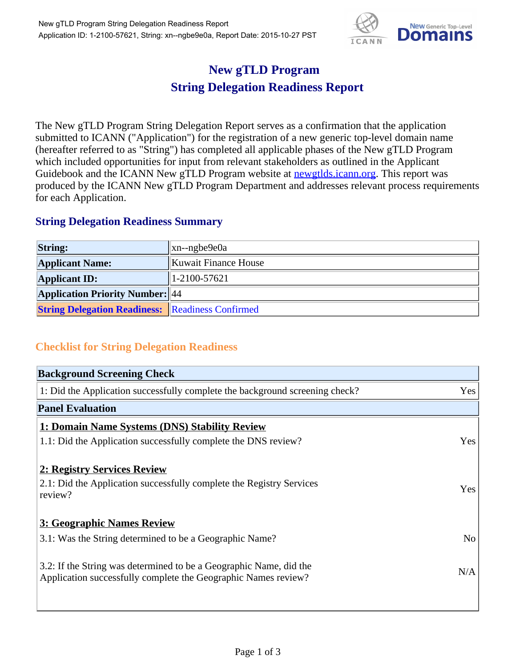

## **New gTLD Program String Delegation Readiness Report**

The New gTLD Program String Delegation Report serves as a confirmation that the application submitted to ICANN ("Application") for the registration of a new generic top-level domain name (hereafter referred to as "String") has completed all applicable phases of the New gTLD Program which included opportunities for input from relevant stakeholders as outlined in the Applicant Guidebook and the ICANN New gTLD Program website at **newgtlds.icann.org**. This report was produced by the ICANN New gTLD Program Department and addresses relevant process requirements for each Application.

## **String Delegation Readiness Summary**

| <b>String:</b>                                          | xn--ngbe9e0a         |
|---------------------------------------------------------|----------------------|
| <b>Applicant Name:</b>                                  | Kuwait Finance House |
| <b>Applicant ID:</b>                                    | $1-2100-57621$       |
| <b>Application Priority Number:</b> 44                  |                      |
| <b>String Delegation Readiness:</b> Readiness Confirmed |                      |

## **Checklist for String Delegation Readiness**

| <b>Background Screening Check</b>                                                                                                    |                |
|--------------------------------------------------------------------------------------------------------------------------------------|----------------|
| 1: Did the Application successfully complete the background screening check?                                                         | Yes            |
| <b>Panel Evaluation</b>                                                                                                              |                |
| 1: Domain Name Systems (DNS) Stability Review                                                                                        |                |
| 1.1: Did the Application successfully complete the DNS review?                                                                       | Yes            |
| 2: Registry Services Review                                                                                                          |                |
| 2.1: Did the Application successfully complete the Registry Services<br>review?                                                      | Yes            |
| 3: Geographic Names Review                                                                                                           |                |
| 3.1: Was the String determined to be a Geographic Name?                                                                              | N <sub>o</sub> |
| 3.2: If the String was determined to be a Geographic Name, did the<br>Application successfully complete the Geographic Names review? | N/A            |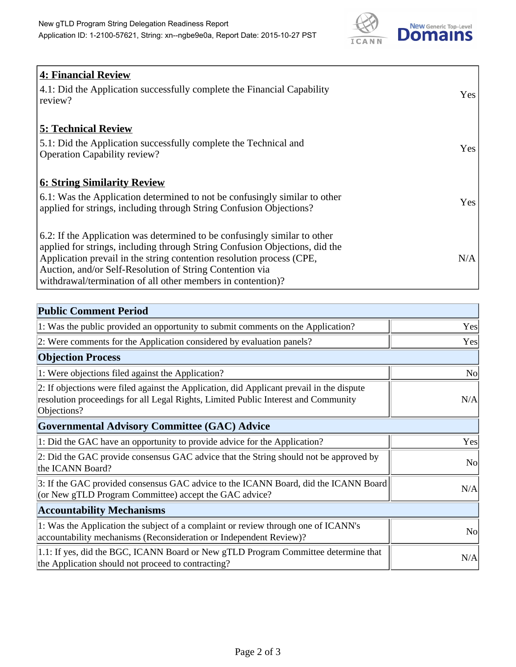

| <b>4: Financial Review</b>                                                  |     |
|-----------------------------------------------------------------------------|-----|
| 4.1: Did the Application successfully complete the Financial Capability     | Yes |
| review?                                                                     |     |
|                                                                             |     |
| <b>5: Technical Review</b>                                                  |     |
| 5.1: Did the Application successfully complete the Technical and            |     |
| <b>Operation Capability review?</b>                                         | Yes |
|                                                                             |     |
| <u><b>6: String Similarity Review</b></u>                                   |     |
| 6.1: Was the Application determined to not be confusingly similar to other  | Yes |
| applied for strings, including through String Confusion Objections?         |     |
|                                                                             |     |
| 6.2: If the Application was determined to be confusingly similar to other   |     |
| applied for strings, including through String Confusion Objections, did the |     |
| Application prevail in the string contention resolution process (CPE,       | N/A |
| Auction, and/or Self-Resolution of String Contention via                    |     |
| withdrawal/termination of all other members in contention)?                 |     |

| <b>Public Comment Period</b>                                                                                                                                                                   |                |
|------------------------------------------------------------------------------------------------------------------------------------------------------------------------------------------------|----------------|
| 1: Was the public provided an opportunity to submit comments on the Application?                                                                                                               | Yes            |
| 2: Were comments for the Application considered by evaluation panels?                                                                                                                          | Yes            |
| <b>Objection Process</b>                                                                                                                                                                       |                |
| 1: Were objections filed against the Application?                                                                                                                                              | N <sub>0</sub> |
| 2: If objections were filed against the Application, did Applicant prevail in the dispute<br>resolution proceedings for all Legal Rights, Limited Public Interest and Community<br>Objections? | N/A            |
| <b>Governmental Advisory Committee (GAC) Advice</b>                                                                                                                                            |                |
| 1: Did the GAC have an opportunity to provide advice for the Application?                                                                                                                      | Yes            |
| 2: Did the GAC provide consensus GAC advice that the String should not be approved by<br>the ICANN Board?                                                                                      | N <sub>o</sub> |
| 3: If the GAC provided consensus GAC advice to the ICANN Board, did the ICANN Board<br>(or New gTLD Program Committee) accept the GAC advice?                                                  | N/A            |
| <b>Accountability Mechanisms</b>                                                                                                                                                               |                |
| 1: Was the Application the subject of a complaint or review through one of ICANN's<br>accountability mechanisms (Reconsideration or Independent Review)?                                       | N <sub>o</sub> |
| 1.1: If yes, did the BGC, ICANN Board or New gTLD Program Committee determine that<br>the Application should not proceed to contracting?                                                       | N/A            |